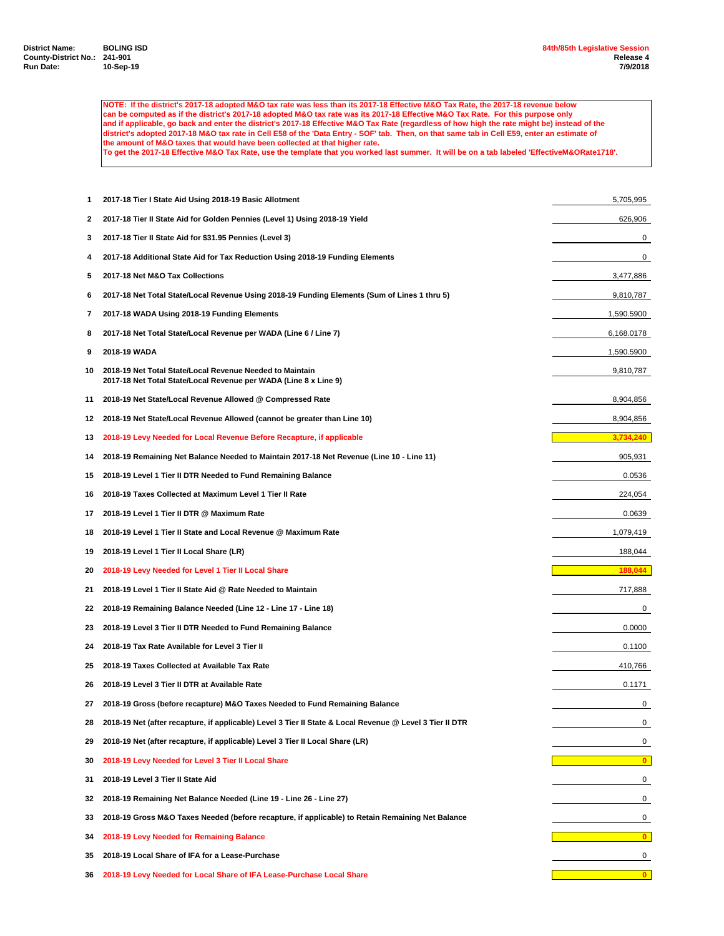**NOTE: If the district's 2017-18 adopted M&O tax rate was less than its 2017-18 Effective M&O Tax Rate, the 2017-18 revenue below can be computed as if the district's 2017-18 adopted M&O tax rate was its 2017-18 Effective M&O Tax Rate. For this purpose only and if applicable, go back and enter the district's 2017-18 Effective M&O Tax Rate (regardless of how high the rate might be) instead of the district's adopted 2017-18 M&O tax rate in Cell E58 of the 'Data Entry - SOF' tab. Then, on that same tab in Cell E59, enter an estimate of the amount of M&O taxes that would have been collected at that higher rate. To get the 2017-18 Effective M&O Tax Rate, use the template that you worked last summer. It will be on a tab labeled 'EffectiveM&ORate1718'.**

 **2017-18 Tier I State Aid Using 2018-19 Basic Allotment** 5,705,995 **2017-18 Tier II State Aid for Golden Pennies (Level 1) Using 2018-19 Yield** 626,906 **2017-18 Tier II State Aid for \$31.95 Pennies (Level 3)** 0 **2017-18 Additional State Aid for Tax Reduction Using 2018-19 Funding Elements** 0 **2017-18 Net M&O Tax Collections** 3,477,886 **2017-18 Net Total State/Local Revenue Using 2018-19 Funding Elements (Sum of Lines 1 thru 5)** 9,810,787 **2017-18 WADA Using 2018-19 Funding Elements** 1,590.5900 **2017-18 Net Total State/Local Revenue per WADA (Line 6 / Line 7)** 6,168.0178 **2018-19 WADA** 1,590.5900 **2018-19 Net Total State/Local Revenue Needed to Maintain** 9,810,787 **2017-18 Net Total State/Local Revenue per WADA (Line 8 x Line 9) 2018-19 Net State/Local Revenue Allowed @ Compressed Rate** 8,904,856 **2018-19 Net State/Local Revenue Allowed (cannot be greater than Line 10)** 8,904,856 **2018-19 Levy Needed for Local Revenue Before Recapture, if applicable 2018-19 Remaining Net Balance Needed to Maintain 2017-18 Net Revenue (Line 10 - Line 11)** 905,931 **2018-19 Level 1 Tier II DTR Needed to Fund Remaining Balance** 0.0536 **2018-19 Taxes Collected at Maximum Level 1 Tier II Rate** 224,054 **2018-19 Level 1 Tier II DTR @ Maximum Rate** 0.0639 **2018-19 Level 1 Tier II State and Local Revenue @ Maximum Rate** 1,079,419 **1,079,419 2018-19 Level 1 Tier II Local Share (LR)** 188,044 **2018-19 Levy Needed for Level 1 Tier II Local Share 188,044 2018-19 Level 1 Tier II State Aid @ Rate Needed to Maintain** 717,888 **2018-19 Remaining Balance Needed (Line 12 - Line 17 - Line 18)** 0 **2018-19 Level 3 Tier II DTR Needed to Fund Remaining Balance** 0.0000 **2018-19 Tax Rate Available for Level 3 Tier II** 0.1100 **2018-19 Taxes Collected at Available Tax Rate** 410,766 **2018-19 Level 3 Tier II DTR at Available Rate** 0.1171 **2018-19 Gross (before recapture) M&O Taxes Needed to Fund Remaining Balance** 0 **2018-19 Net (after recapture, if applicable) Level 3 Tier II State & Local Revenue @ Level 3 Tier II DTR** 0 **2018-19 Net (after recapture, if applicable) Level 3 Tier II Local Share (LR)** 0 **2018-19 Levy Needed for Level 3 Tier II Local Share 0 2018-19 Level 3 Tier II State Aid** 0 **2018-19 Remaining Net Balance Needed (Line 19 - Line 26 - Line 27)** 0 **2018-19 Gross M&O Taxes Needed (before recapture, if applicable) to Retain Remaining Net Balance** 0 **2018-19 Levy Needed for Remaining Balance 0 2018-19 Local Share of IFA for a Lease-Purchase** 0 **2018-19 Levy Needed for Local Share of IFA Lease-Purchase Local Share 0**